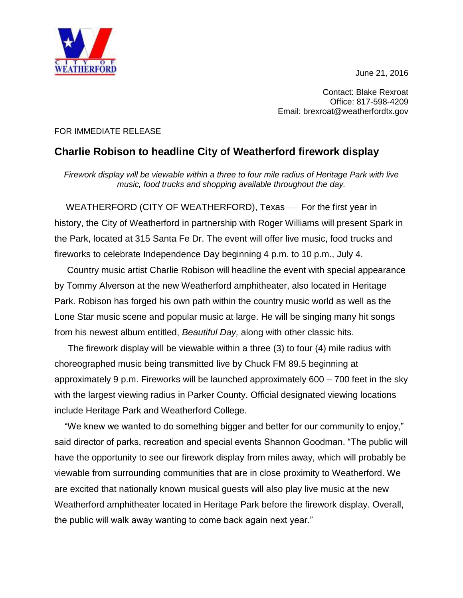June 21, 2016



Contact: Blake Rexroat Office: 817-598-4209 Email: brexroat@weatherfordtx.gov

## FOR IMMEDIATE RELEASE

## **Charlie Robison to headline City of Weatherford firework display**

*Firework display will be viewable within a three to four mile radius of Heritage Park with live music, food trucks and shopping available throughout the day.*

WEATHERFORD (CITY OF WEATHERFORD), Texas — For the first year in history, the City of Weatherford in partnership with Roger Williams will present Spark in the Park, located at 315 Santa Fe Dr. The event will offer live music, food trucks and fireworks to celebrate Independence Day beginning 4 p.m. to 10 p.m., July 4.

 Country music artist Charlie Robison will headline the event with special appearance by Tommy Alverson at the new Weatherford amphitheater, also located in Heritage Park. Robison has forged his own path within the country music world as well as the Lone Star music scene and popular music at large. He will be singing many hit songs from his newest album entitled, *Beautiful Day,* along with other classic hits.

The firework display will be viewable within a three (3) to four (4) mile radius with choreographed music being transmitted live by Chuck FM 89.5 beginning at approximately 9 p.m. Fireworks will be launched approximately 600 – 700 feet in the sky with the largest viewing radius in Parker County. Official designated viewing locations include Heritage Park and Weatherford College.

"We knew we wanted to do something bigger and better for our community to enjoy," said director of parks, recreation and special events Shannon Goodman. "The public will have the opportunity to see our firework display from miles away, which will probably be viewable from surrounding communities that are in close proximity to Weatherford. We are excited that nationally known musical guests will also play live music at the new Weatherford amphitheater located in Heritage Park before the firework display. Overall, the public will walk away wanting to come back again next year."